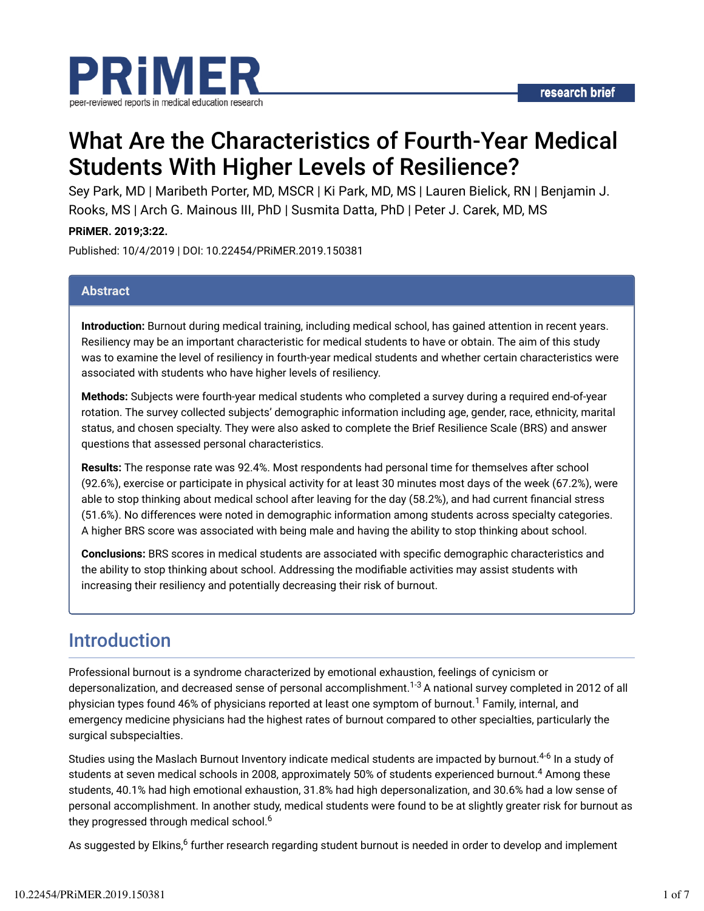

# What Are the Characteristics of Fourth-Year Medical Students With Higher Levels of Resilience?

Sey Park, MD | Maribeth Porter, MD, MSCR | Ki Park, MD, MS | Lauren Bielick, RN | Benjamin J. Rooks, MS | Arch G. Mainous III, PhD | Susmita Datta, PhD | Peter J. Carek, MD, MS

**PRiMER. 2019;3:22.**

Published: 10/4/2019 | DOI: 10.22454/PRiMER.2019.150381

#### **Abstract**

**Introduction:** Burnout during medical training, including medical school, has gained attention in recent years. Resiliency may be an important characteristic for medical students to have or obtain. The aim of this study was to examine the level of resiliency in fourth-year medical students and whether certain characteristics were associated with students who have higher levels of resiliency.

**Methods:** Subjects were fourth-year medical students who completed a survey during a required end-of-year rotation. The survey collected subjects' demographic information including age, gender, race, ethnicity, marital status, and chosen specialty. They were also asked to complete the Brief Resilience Scale (BRS) and answer questions that assessed personal characteristics.

**Results:** The response rate was 92.4%. Most respondents had personal time for themselves after school (92.6%), exercise or participate in physical activity for at least 30 minutes most days of the week (67.2%), were able to stop thinking about medical school after leaving for the day (58.2%), and had current financial stress (51.6%). No differences were noted in demographic information among students across specialty categories. A higher BRS score was associated with being male and having the ability to stop thinking about school.

**Conclusions:** BRS scores in medical students are associated with specific demographic characteristics and the ability to stop thinking about school. Addressing the modifiable activities may assist students with increasing their resiliency and potentially decreasing their risk of burnout.

### Introduction

Professional burnout is a syndrome characterized by emotional exhaustion, feelings of cynicism or depersonalization, and decreased sense of personal accomplishment.<sup>1-3</sup> A national survey completed in 2012 of all physician types found 46% of physicians reported at least one symptom of burnout.<sup>1</sup> Family, internal, and emergency medicine physicians had the highest rates of burnout compared to other specialties, particularly the surgical subspecialties.

Studies using the Maslach Burnout Inventory indicate medical students are impacted by burnout.<sup>4-6</sup> In a study of students at seven medical schools in 2008, approximately 50% of students experienced burnout. $^4$  Among these students, 40.1% had high emotional exhaustion, 31.8% had high depersonalization, and 30.6% had a low sense of personal accomplishment. In another study, medical students were found to be at slightly greater risk for burnout as they progressed through medical school. 6

As suggested by Elkins,<sup>6</sup> further research regarding student burnout is needed in order to develop and implement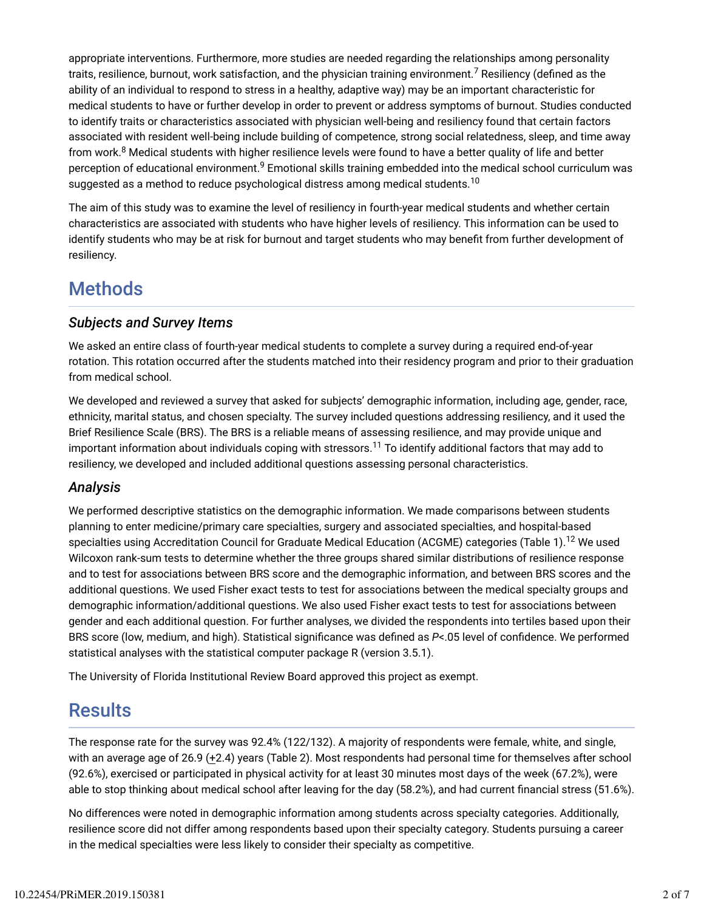appropriate interventions. Furthermore, more studies are needed regarding the relationships among personality traits, resilience, burnout, work satisfaction, and the physician training environment.<sup>7</sup> Resiliency (defined as the ability of an individual to respond to stress in a healthy, adaptive way) may be an important characteristic for medical students to have or further develop in order to prevent or address symptoms of burnout. Studies conducted to identify traits or characteristics associated with physician well-being and resiliency found that certain factors associated with resident well-being include building of competence, strong social relatedness, sleep, and time away from work.<sup>8</sup> Medical students with higher resilience levels were found to have a better quality of life and better perception of educational environment.<sup>9</sup> Emotional skills training embedded into the medical school curriculum was suggested as a method to reduce psychological distress among medical students. $^{10}$ 

The aim of this study was to examine the level of resiliency in fourth-year medical students and whether certain characteristics are associated with students who have higher levels of resiliency. This information can be used to identify students who may be at risk for burnout and target students who may benefit from further development of resiliency.

# **Methods**

### *Subjects and Survey Items*

We asked an entire class of fourth-year medical students to complete a survey during a required end-of-year rotation. This rotation occurred after the students matched into their residency program and prior to their graduation from medical school.

We developed and reviewed a survey that asked for subjects' demographic information, including age, gender, race, ethnicity, marital status, and chosen specialty. The survey included questions addressing resiliency, and it used the Brief Resilience Scale (BRS). The BRS is a reliable means of assessing resilience, and may provide unique and important information about individuals coping with stressors. $^{11}$  To identify additional factors that may add to resiliency, we developed and included additional questions assessing personal characteristics.

### *Analysis*

We performed descriptive statistics on the demographic information. We made comparisons between students planning to enter medicine/primary care specialties, surgery and associated specialties, and hospital-based specialties using Accreditation Council for Graduate Medical Education (ACGME) categories (Table 1).<sup>12</sup> We used Wilcoxon rank-sum tests to determine whether the three groups shared similar distributions of resilience response and to test for associations between BRS score and the demographic information, and between BRS scores and the additional questions. We used Fisher exact tests to test for associations between the medical specialty groups and demographic information/additional questions. We also used Fisher exact tests to test for associations between gender and each additional question. For further analyses, we divided the respondents into tertiles based upon their BRS score (low, medium, and high). Statistical significance was defined as *P*<.05 level of confidence. We performed statistical analyses with the statistical computer package R (version 3.5.1).

The University of Florida Institutional Review Board approved this project as exempt.

## **Results**

The response rate for the survey was 92.4% (122/132). A majority of respondents were female, white, and single, with an average age of 26.9 (+2.4) years (Table 2). Most respondents had personal time for themselves after school (92.6%), exercised or participated in physical activity for at least 30 minutes most days of the week (67.2%), were able to stop thinking about medical school after leaving for the day (58.2%), and had current financial stress (51.6%).

No differences were noted in demographic information among students across specialty categories. Additionally, resilience score did not differ among respondents based upon their specialty category. Students pursuing a career in the medical specialties were less likely to consider their specialty as competitive.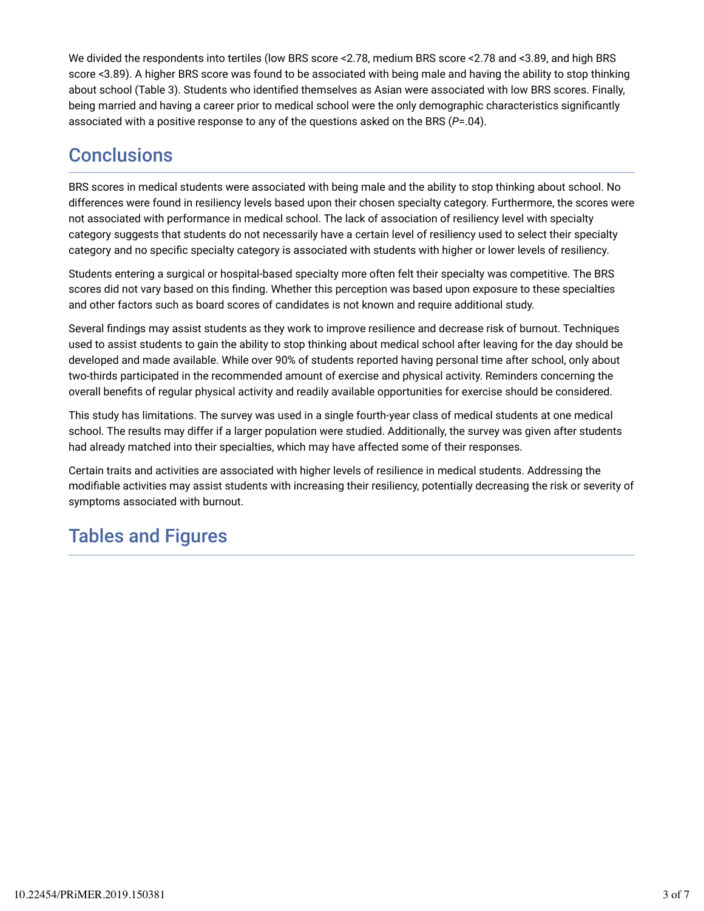We divided the respondents into tertiles (low BRS score <2.78, medium BRS score <2.78 and <3.89, and high BRS score <3.89). A higher BRS score was found to be associated with being male and having the ability to stop thinking about school (Table 3). Students who identified themselves as Asian were associated with low BRS scores. Finally, being married and having a career prior to medical school were the only demographic characteristics significantly associated with a positive response to any of the questions asked on the BRS (*P*=.04).

# **Conclusions**

BRS scores in medical students were associated with being male and the ability to stop thinking about school. No differences were found in resiliency levels based upon their chosen specialty category. Furthermore, the scores were not associated with performance in medical school. The lack of association of resiliency level with specialty category suggests that students do not necessarily have a certain level of resiliency used to select their specialty category and no specific specialty category is associated with students with higher or lower levels of resiliency.

Students entering a surgical or hospital-based specialty more often felt their specialty was competitive. The BRS scores did not vary based on this finding. Whether this perception was based upon exposure to these specialties and other factors such as board scores of candidates is not known and require additional study.

Several findings may assist students as they work to improve resilience and decrease risk of burnout. Techniques used to assist students to gain the ability to stop thinking about medical school after leaving for the day should be developed and made available. While over 90% of students reported having personal time after school, only about two-thirds participated in the recommended amount of exercise and physical activity. Reminders concerning the overall benefits of regular physical activity and readily available opportunities for exercise should be considered.

This study has limitations. The survey was used in a single fourth-year class of medical students at one medical school. The results may differ if a larger population were studied. Additionally, the survey was given after students had already matched into their specialties, which may have affected some of their responses.

Certain traits and activities are associated with higher levels of resilience in medical students. Addressing the modifiable activities may assist students with increasing their resiliency, potentially decreasing the risk or severity of symptoms associated with burnout.

# Tables and Figures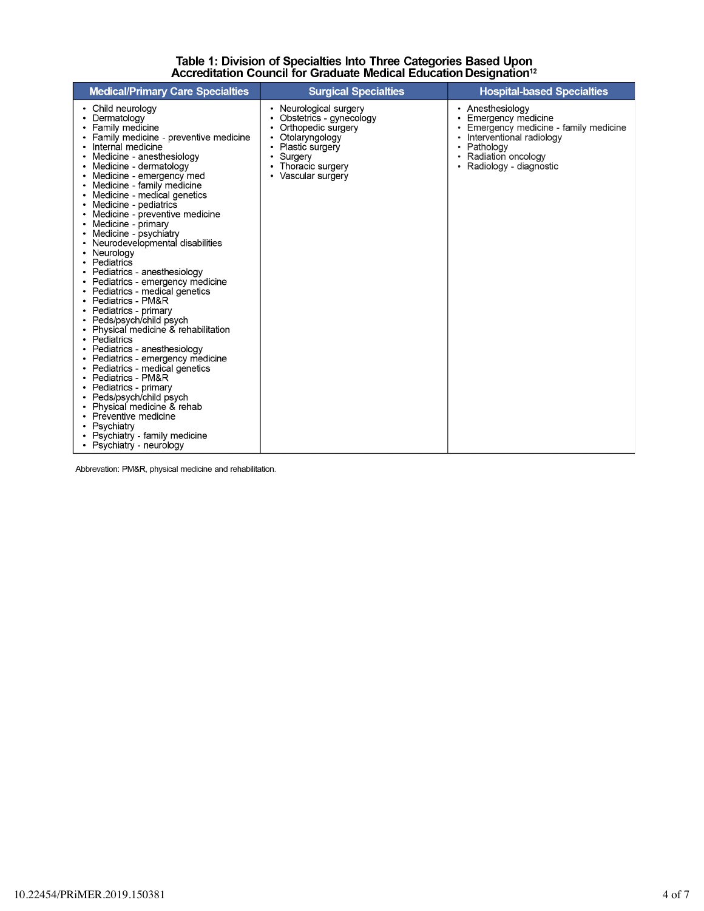# Table 1: Division of Specialties Into Three Categories Based Upon<br>Accreditation Council for Graduate Medical Education Designation<sup>12</sup>

| <b>Medical/Primary Care Specialties</b>                                                                                                                                                                                                                                                                                                                                                                                                                                                                                                                                                                                                                                                                                                                                                                                                                                                                                                                                                                                                                                  | <b>Surgical Specialties</b>                                                                                                                                          | <b>Hospital-based Specialties</b>                                                                                                                                               |
|--------------------------------------------------------------------------------------------------------------------------------------------------------------------------------------------------------------------------------------------------------------------------------------------------------------------------------------------------------------------------------------------------------------------------------------------------------------------------------------------------------------------------------------------------------------------------------------------------------------------------------------------------------------------------------------------------------------------------------------------------------------------------------------------------------------------------------------------------------------------------------------------------------------------------------------------------------------------------------------------------------------------------------------------------------------------------|----------------------------------------------------------------------------------------------------------------------------------------------------------------------|---------------------------------------------------------------------------------------------------------------------------------------------------------------------------------|
| • Child neurology<br>• Dermatology<br>Family medicine<br>Family medicine - preventive medicine<br>Internal medicine<br>Medicine - anesthesiology<br>٠<br>Medicine - dermatology<br>$\bullet$<br>Medicine - emergency med<br>Medicine - family medicine<br>٠<br>Medicine - medical genetics<br>Medicine - pediatrics<br>$\bullet$<br>Medicine - preventive medicine<br>Medicine - primary<br>Medicine - psychiatry<br>Neurodevelopmental disabilities<br>Neurology<br>Pediatrics<br>$\bullet$<br>Pediatrics - anesthesiology<br>Pediatrics - emergency medicine<br>• Pediatrics - medical genetics<br>• Pediatrics - PM&R<br>• Pediatrics - primary<br>• Peds/psych/child psych<br>Physical medicine & rehabilitation<br>Pediatrics<br>Pediatrics - anesthesiology<br>Pediatrics - emergency medicine<br>Pediatrics - medical genetics<br>Pediatrics - PM&R<br>$\bullet$<br>Pediatrics - primary<br>Peds/psych/child psych<br>Physical medicine & rehab<br>• Preventive medicine<br>Psychiatry<br>$\bullet$<br>• Psychiatry - family medicine<br>• Psychiatry - neurology | Neurological surgery<br>٠<br>Obstetrics - gynecology<br>Orthopedic surgery<br>Otolaryngology<br>Plastic surgery<br>Surgery<br>Thoracic surgery<br>• Vascular surgery | • Anesthesiology<br>• Emergency medicine<br>Emergency medicine - family medicine<br>Interventional radiology<br>• Pathology<br>• Radiation oncology<br>• Radiology - diagnostic |

Abbrevation: PM&R, physical medicine and rehabilitation.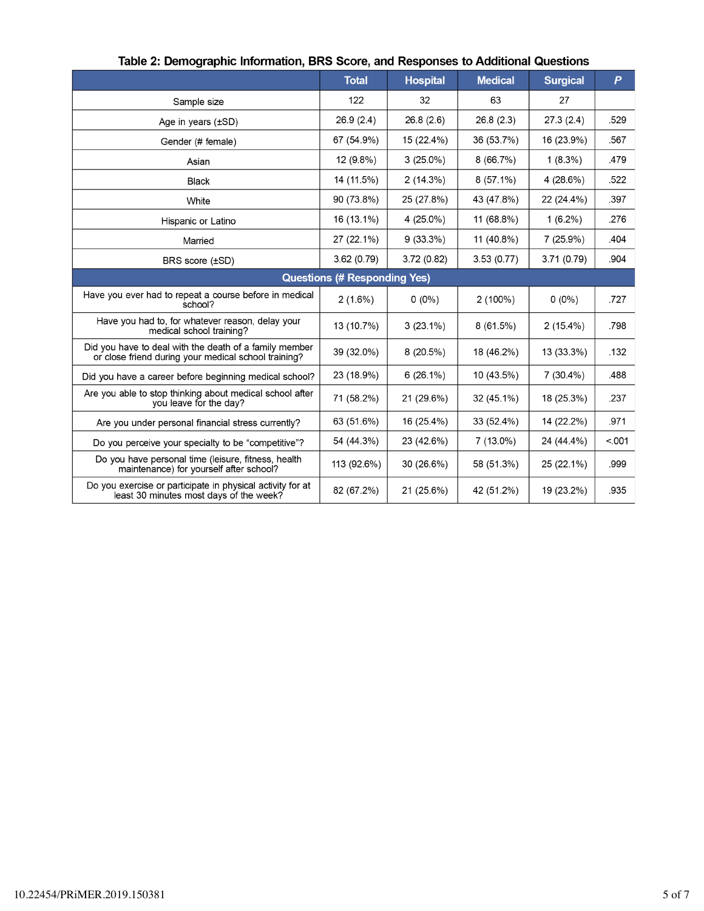|                                                                                                                | <b>Total</b> | <b>Hospital</b> | <b>Medical</b> | <b>Surgical</b> | $\boldsymbol{P}$ |  |  |
|----------------------------------------------------------------------------------------------------------------|--------------|-----------------|----------------|-----------------|------------------|--|--|
| Sample size                                                                                                    | 122          | 32              | 63             | 27              |                  |  |  |
| Age in years $(\pm SD)$                                                                                        | 26.9(2.4)    | 26.8(2.6)       | 26.8(2.3)      | 27.3(2.4)       | .529             |  |  |
| Gender (# female)                                                                                              | 67 (54.9%)   | 15 (22.4%)      | 36 (53.7%)     | 16 (23.9%)      | .567             |  |  |
| Asian                                                                                                          | 12 (9.8%)    | $3(25.0\%)$     | $8(66.7\%)$    | $1(8.3\%)$      | .479             |  |  |
| <b>Black</b>                                                                                                   | 14 (11.5%)   | 2(14.3%)        | $8(57.1\%)$    | 4 (28.6%)       | .522             |  |  |
| White                                                                                                          | 90 (73.8%)   | 25 (27.8%)      | 43 (47.8%)     | 22 (24.4%)      | .397             |  |  |
| Hispanic or Latino                                                                                             | 16 (13.1%)   | 4 (25.0%)       | 11 (68.8%)     | $1(6.2\%)$      | .276             |  |  |
| Married                                                                                                        | 27 (22.1%)   | $9(33.3\%)$     | 11 (40.8%)     | $7(25.9\%)$     | .404             |  |  |
| BRS score (±SD)                                                                                                | 3.62(0.79)   | 3.72 (0.82)     | 3.53(0.77)     | 3.71 (0.79)     | .904             |  |  |
| <b>Questions (# Responding Yes)</b>                                                                            |              |                 |                |                 |                  |  |  |
| Have you ever had to repeat a course before in medical<br>school?                                              | $2(1.6\%)$   | $0(0\%)$        | $2(100\%)$     | $0(0\%)$        | .727             |  |  |
| Have you had to, for whatever reason, delay your<br>medical school training?                                   | 13 (10.7%)   | $3(23.1\%)$     | 8(61.5%)       | $2(15.4\%)$     | .798             |  |  |
| Did you have to deal with the death of a family member<br>or close friend during your medical school training? | 39 (32.0%)   | 8 (20.5%)       | 18 (46.2%)     | 13 (33.3%)      | .132             |  |  |
| Did you have a career before beginning medical school?                                                         | 23 (18.9%)   | $6(26.1\%)$     | 10 (43.5%)     | $7(30.4\%)$     | .488             |  |  |
| Are you able to stop thinking about medical school after<br>you leave for the day?                             | 71 (58.2%)   | 21 (29.6%)      | 32 (45.1%)     | 18 (25.3%)      | .237             |  |  |
| Are you under personal financial stress currently?                                                             | 63 (51.6%)   | 16 (25.4%)      | 33 (52.4%)     | 14 (22.2%)      | .971             |  |  |
| Do you perceive your specialty to be "competitive"?                                                            | 54 (44.3%)   | 23 (42.6%)      | 7 (13.0%)      | 24 (44.4%)      | < 001            |  |  |
| Do you have personal time (leisure, fitness, health<br>maintenance) for yourself after school?                 | 113 (92.6%)  | 30 (26.6%)      | 58 (51.3%)     | 25 (22.1%)      | .999             |  |  |
| Do you exercise or participate in physical activity for at<br>least 30 minutes most days of the week?          | 82 (67.2%)   | 21 (25.6%)      | 42 (51.2%)     | 19 (23.2%)      | .935             |  |  |

### Table 2: Demographic Information, BRS Score, and Responses to Additional Questions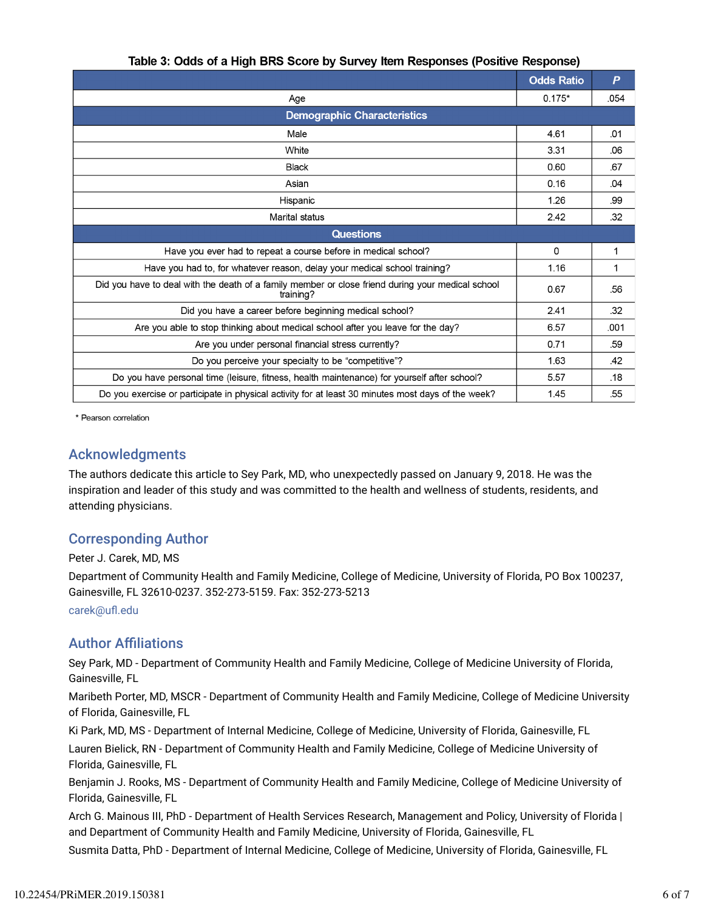|                                                                                                                | <b>Odds Ratio</b> | P    |  |  |  |  |
|----------------------------------------------------------------------------------------------------------------|-------------------|------|--|--|--|--|
| Age                                                                                                            | $0.175*$          | .054 |  |  |  |  |
| <b>Demographic Characteristics</b>                                                                             |                   |      |  |  |  |  |
| Male                                                                                                           | 4.61              | .01  |  |  |  |  |
| White                                                                                                          | 3.31              | .06  |  |  |  |  |
| <b>Black</b>                                                                                                   | 0.60              | .67  |  |  |  |  |
| Asian                                                                                                          |                   | .04  |  |  |  |  |
| Hispanic                                                                                                       | 1.26              | .99  |  |  |  |  |
| Marital status                                                                                                 | 2.42              | .32  |  |  |  |  |
| <b>Questions</b>                                                                                               |                   |      |  |  |  |  |
| Have you ever had to repeat a course before in medical school?                                                 | 0                 | 1    |  |  |  |  |
| Have you had to, for whatever reason, delay your medical school training?                                      | 1.16              | 1    |  |  |  |  |
| Did you have to deal with the death of a family member or close friend during your medical school<br>training? |                   | .56  |  |  |  |  |
| Did you have a career before beginning medical school?                                                         |                   | .32  |  |  |  |  |
| Are you able to stop thinking about medical school after you leave for the day?                                |                   | .001 |  |  |  |  |
| Are you under personal financial stress currently?                                                             |                   | .59  |  |  |  |  |
| Do you perceive your specialty to be "competitive"?                                                            |                   | .42  |  |  |  |  |
| Do you have personal time (leisure, fitness, health maintenance) for yourself after school?                    |                   | .18  |  |  |  |  |
| Do you exercise or participate in physical activity for at least 30 minutes most days of the week?             |                   | .55  |  |  |  |  |

\* Pearson correlation

### Acknowledgments

The authors dedicate this article to Sey Park, MD, who unexpectedly passed on January 9, 2018. He was the inspiration and leader of this study and was committed to the health and wellness of students, residents, and attending physicians.

### Corresponding Author

Peter J. Carek, MD, MS Department of Community Health and Family Medicine, College of Medicine, University of Florida, PO Box 100237, Gainesville, FL 32610-0237. 352-273-5159. Fax: 352-273-5213 carek@ufl.edu

### **Author Affiliations**

Sey Park, MD - Department of Community Health and Family Medicine, College of Medicine University of Florida, Gainesville, FL

Maribeth Porter, MD, MSCR - Department of Community Health and Family Medicine, College of Medicine University of Florida, Gainesville, FL

Ki Park, MD, MS - Department of Internal Medicine, College of Medicine, University of Florida, Gainesville, FL

Lauren Bielick, RN - Department of Community Health and Family Medicine, College of Medicine University of Florida, Gainesville, FL

Benjamin J. Rooks, MS - Department of Community Health and Family Medicine, College of Medicine University of Florida, Gainesville, FL

Arch G. Mainous III, PhD - Department of Health Services Research, Management and Policy, University of Florida | and Department of Community Health and Family Medicine, University of Florida, Gainesville, FL

Susmita Datta, PhD - Department of Internal Medicine, College of Medicine, University of Florida, Gainesville, FL